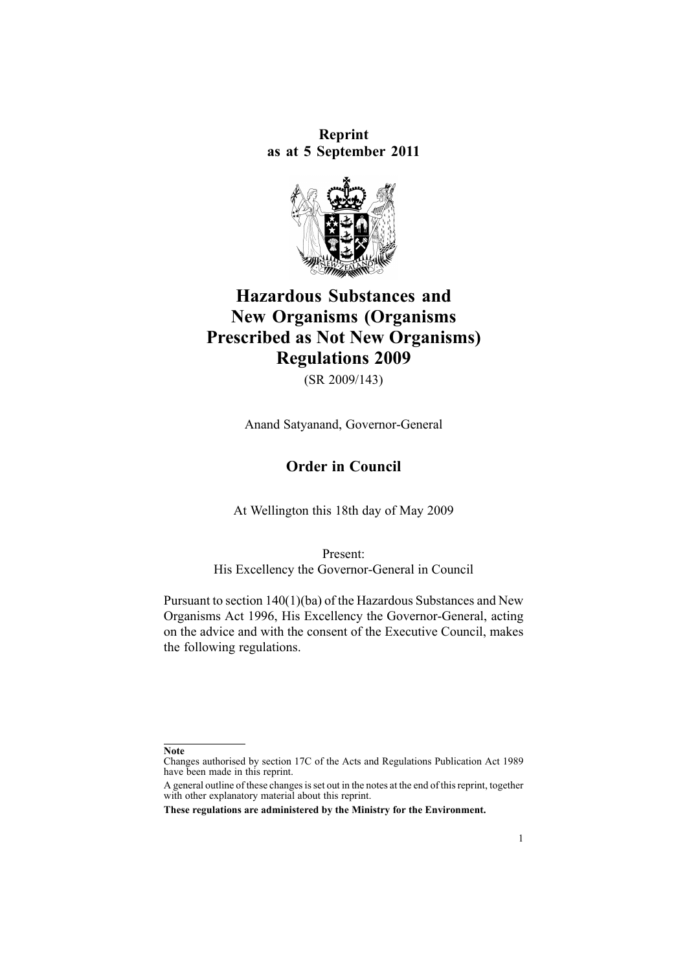**Reprint as at 5 September 2011**



# **Hazardous Substances and New Organisms (Organisms Prescribed as Not New Organisms) Regulations 2009**

(SR 2009/143)

Anand Satyanand, Governor-General

# **Order in Council**

At Wellington this 18th day of May 2009

Present: His Excellency the Governor-General in Council

Pursuant to section [140\(1\)\(ba\)](http://www.legislation.govt.nz/pdflink.aspx?id=DLM385106) of the Hazardous Substances and New Organisms Act 1996, His Excellency the Governor-General, acting on the advice and with the consent of the Executive Council, makes the following regulations.

**Note**

Changes authorised by [section](http://www.legislation.govt.nz/pdflink.aspx?id=DLM195466) 17C of the Acts and Regulations Publication Act 1989 have been made in this reprint.

A general outline of these changes is set out in the notes at the end of this reprint, together with other explanatory material about this reprint.

**These regulations are administered by the Ministry for the Environment.**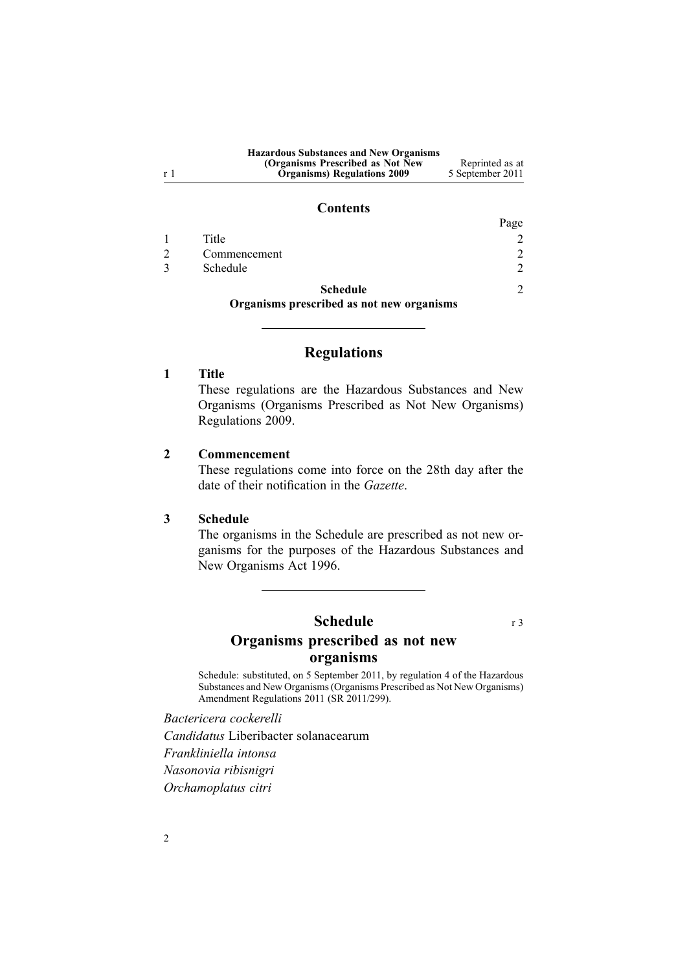| <b>Hazardous Substances and New Organisms</b> |                  |
|-----------------------------------------------|------------------|
| (Organisms Prescribed as Not New)             | Reprinted as at  |
| <b>Organisms</b> ) Regulations 2009           | 5 September 2011 |

#### **Contents**

|                 | Page          |
|-----------------|---------------|
| Title           |               |
| Commencement    | $\mathcal{D}$ |
| Schedule        | 2             |
| <b>Schedule</b> | $\bigcap$     |

**Organisms prescribed as not new organisms**

# **Regulations**

## **1 Title**

<sup>r</sup> 1

These regulations are the Hazardous Substances and New Organisms (Organisms Prescribed as Not New Organisms) Regulations 2009.

#### **2 Commencement**

These regulations come into force on the 28th day after the date of their notification in the *Gazette*.

#### **3 Schedule**

The organisms in the Schedule are prescribed as not new organisms for the purposes of the Hazardous [Substances](http://www.legislation.govt.nz/pdflink.aspx?id=DLM381221) and New [Organisms](http://www.legislation.govt.nz/pdflink.aspx?id=DLM381221) Act 1996.

# **Schedule** r 3 **Organisms prescribed as not new organisms**

Schedule: substituted, on 5 September 2011, by regu[lation](http://www.legislation.govt.nz/pdflink.aspx?id=DLM3952307) 4 of the Hazardous Substances and New Organisms (Organisms Prescribed as Not New Organisms) Amendment Regulations 2011 (SR 2011/299).

*Bactericera cockerelli Candidatus* Liberibacter solanacearum *Frankliniella intonsa Nasonovia ribisnigri Orchamoplatus citri*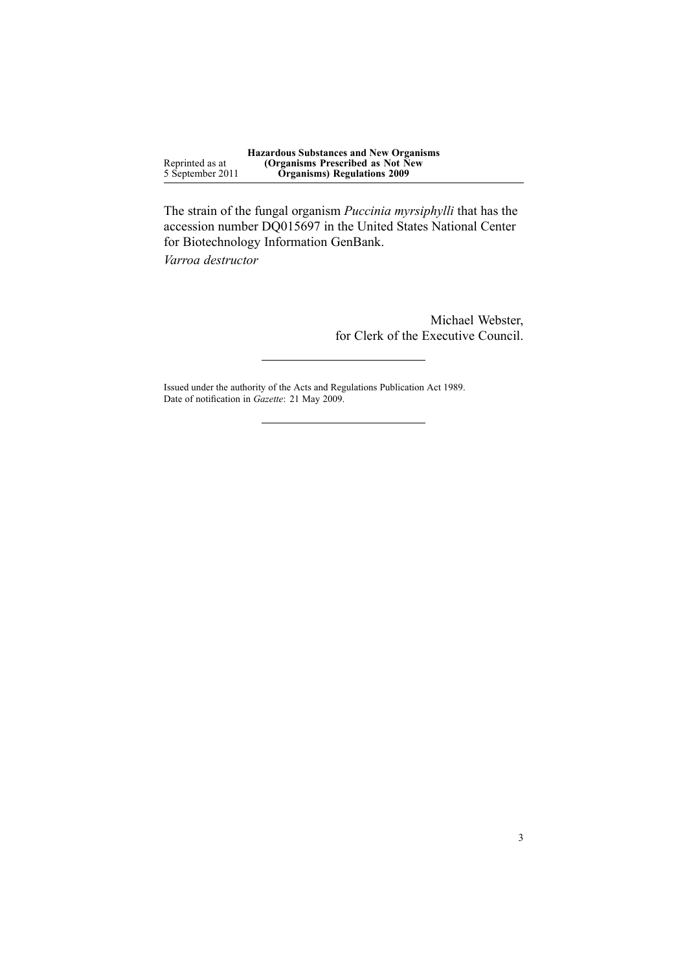Reprinted as at 5 September 2011 **Hazardous Substances and New Organisms (Organisms Prescribed as Not New Organisms) Regulations 2009**

The strain of the fungal organism *Puccinia myrsiphylli* that has the accession number DQ015697 in the United States National Center for Biotechnology Information GenBank.

*Varroa destructor*

Michael Webster, for Clerk of the Executive Council.

Issued under the authority of the Acts and [Regulations](http://www.legislation.govt.nz/pdflink.aspx?id=DLM195097) Publication Act 1989. Date of notification in *Gazette*: 21 May 2009.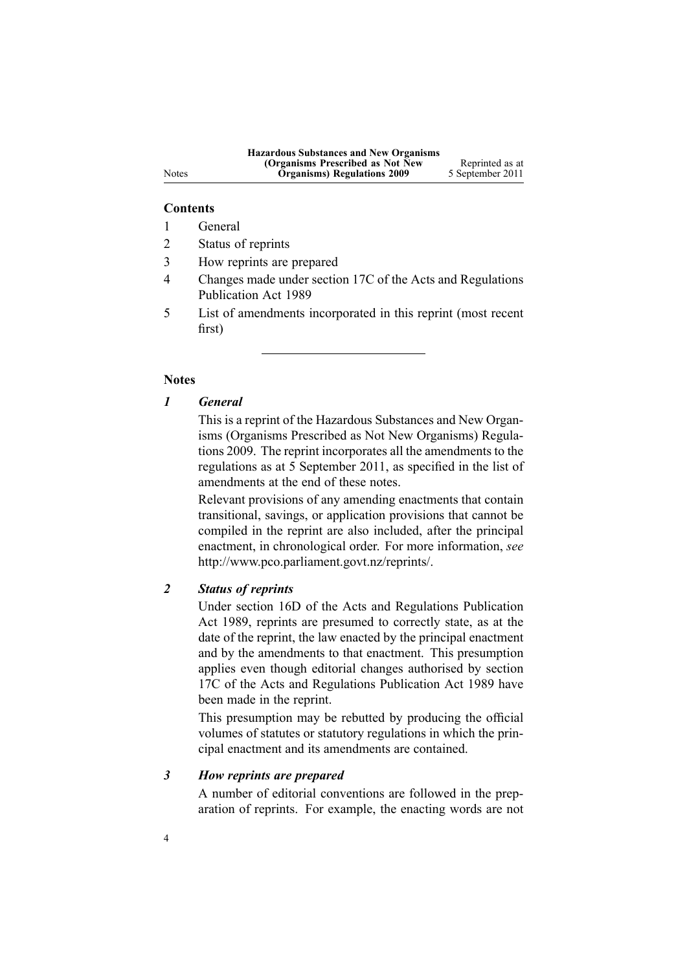#### **Contents**

- 1 General
- 2 Status of reprints
- 3 How reprints are prepared
- 4 Changes made under section 17C of the Acts and Regulations Publication Act 1989
- 5 List of amendments incorporated in this reprint (most recent first)

#### **Notes**

### *1 General*

This is <sup>a</sup> reprint of the Hazardous Substances and New Organisms (Organisms Prescribed as Not New Organisms) Regulations 2009. The reprint incorporates all the amendments to the regulations as at 5 September 2011, as specified in the list of amendments at the end of these notes.

Relevant provisions of any amending enactments that contain transitional, savings, or application provisions that cannot be compiled in the reprint are also included, after the principal enactment, in chronological order. For more information, *see* <http://www.pco.parliament.govt.nz/reprints/>.

# *2 Status of reprints*

Under [section](http://www.legislation.govt.nz/pdflink.aspx?id=DLM195439) 16D of the Acts and Regulations Publication Act 1989, reprints are presumed to correctly state, as at the date of the reprint, the law enacted by the principal enactment and by the amendments to that enactment. This presumption applies even though editorial changes authorised by [section](http://www.legislation.govt.nz/pdflink.aspx?id=DLM195466) [17C](http://www.legislation.govt.nz/pdflink.aspx?id=DLM195466) of the Acts and Regulations Publication Act 1989 have been made in the reprint.

This presumption may be rebutted by producing the official volumes of statutes or statutory regulations in which the principal enactment and its amendments are contained.

# *3 How reprints are prepared*

A number of editorial conventions are followed in the preparation of reprints. For example, the enacting words are not

#### Notes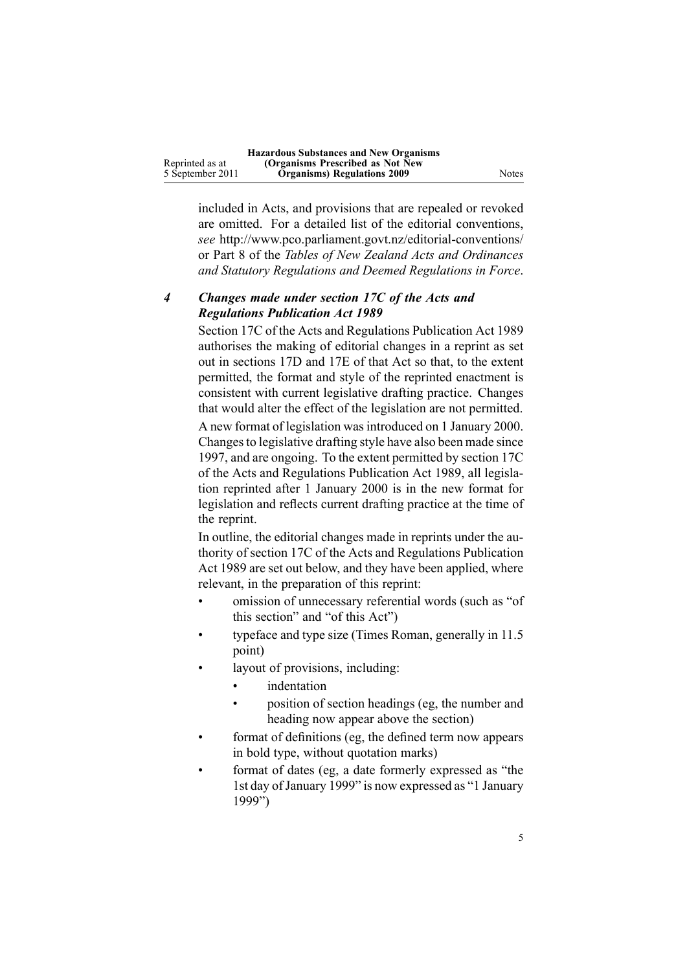|                  | <b>Hazardous Substances and New Organisms</b> |       |
|------------------|-----------------------------------------------|-------|
| Reprinted as at  | (Organisms Prescribed as Not New              |       |
| 5 September 2011 | <b>Organisms</b> ) Regulations 2009           | Notes |

included in Acts, and provisions that are repealed or revoked are omitted. For <sup>a</sup> detailed list of the editorial conventions, *see* [http://www.pco.parliament.govt.nz/editorial-conventions/](http://www.pco.parliament.govt.nz/editorial-conventions/ ) or Part 8 of the *Tables of New Zealand Acts and Ordinances and Statutory Regulations and Deemed Regulations in Force*.

## *4 Changes made under section 17C of the Acts and Regulations Publication Act 1989*

[Section](http://www.legislation.govt.nz/pdflink.aspx?id=DLM195466) 17C of the Acts and Regulations Publication Act 1989 authorises the making of editorial changes in <sup>a</sup> reprint as set out in [sections](http://www.legislation.govt.nz/pdflink.aspx?id=DLM195468) 17D and [17E](http://www.legislation.govt.nz/pdflink.aspx?id=DLM195470) of that Act so that, to the extent permitted, the format and style of the reprinted enactment is consistent with current legislative drafting practice. Changes that would alter the effect of the legislation are not permitted.

A new format of legislation wasintroduced on 1 January 2000. Changes to legislative drafting style have also been made since 1997, and are ongoing. To the extent permitted by [section](http://www.legislation.govt.nz/pdflink.aspx?id=DLM195466) 17C of the Acts and Regulations Publication Act 1989, all legislation reprinted after 1 January 2000 is in the new format for legislation and reflects current drafting practice at the time of the reprint.

In outline, the editorial changes made in reprints under the authority of [section](http://www.legislation.govt.nz/pdflink.aspx?id=DLM195466) 17C of the Acts and Regulations Publication Act 1989 are set out below, and they have been applied, where relevant, in the preparation of this reprint:

- • omission of unnecessary referential words (such as "of this section" and "of this Act")
- • typeface and type size (Times Roman, generally in 11.5 point)
- • layout of provisions, including:
	- •indentation
	- • position of section headings (eg, the number and heading now appear above the section)
- • format of definitions (eg, the defined term now appears in bold type, without quotation marks)
- • format of dates (eg, <sup>a</sup> date formerly expressed as "the 1st day of January 1999" is now expressed as "1 January 1999")